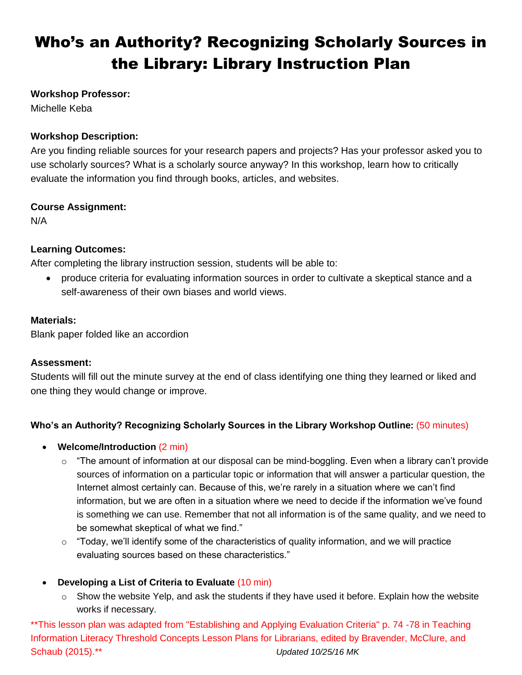# Who's an Authority? Recognizing Scholarly Sources in the Library: Library Instruction Plan

#### **Workshop Professor:**

Michelle Keba

#### **Workshop Description:**

Are you finding reliable sources for your research papers and projects? Has your professor asked you to use scholarly sources? What is a scholarly source anyway? In this workshop, learn how to critically evaluate the information you find through books, articles, and websites.

#### **Course Assignment:**

N/A

## **Learning Outcomes:**

After completing the library instruction session, students will be able to:

 produce criteria for evaluating information sources in order to cultivate a skeptical stance and a self-awareness of their own biases and world views.

#### **Materials:**

Blank paper folded like an accordion

#### **Assessment:**

Students will fill out the minute survey at the end of class identifying one thing they learned or liked and one thing they would change or improve.

# **Who's an Authority? Recognizing Scholarly Sources in the Library Workshop Outline:** (50 minutes)

#### **Welcome/Introduction** (2 min)

- $\circ$  "The amount of information at our disposal can be mind-boggling. Even when a library can't provide sources of information on a particular topic or information that will answer a particular question, the Internet almost certainly can. Because of this, we're rarely in a situation where we can't find information, but we are often in a situation where we need to decide if the information we've found is something we can use. Remember that not all information is of the same quality, and we need to be somewhat skeptical of what we find."
- $\circ$  "Today, we'll identify some of the characteristics of quality information, and we will practice evaluating sources based on these characteristics."

# **Developing a List of Criteria to Evaluate** (10 min)

 $\circ$  Show the website Yelp, and ask the students if they have used it before. Explain how the website works if necessary.

\*\*This lesson plan was adapted from "Establishing and Applying Evaluation Criteria" p. 74 -78 in Teaching Information Literacy Threshold Concepts Lesson Plans for Librarians, edited by Bravender, McClure, and Schaub (2015).\*\* *Updated 10/25/16 MK*